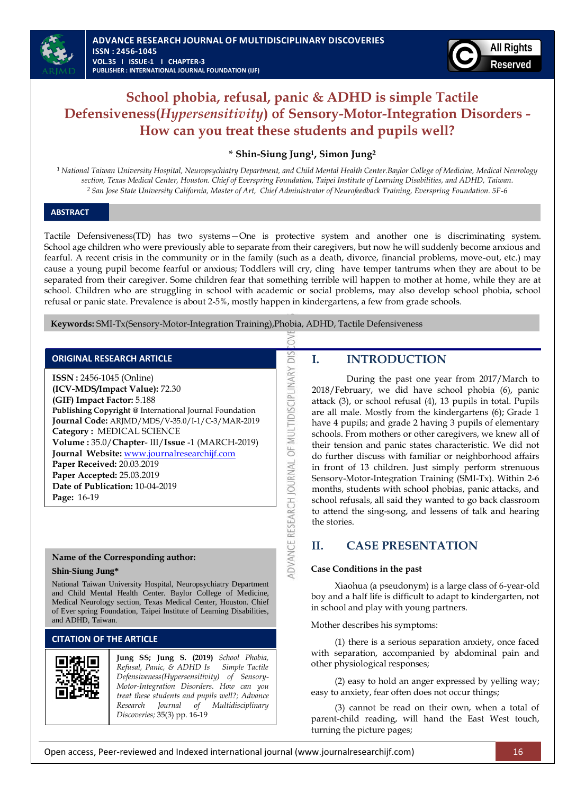

# **School phobia, refusal, panic & ADHD is simple Tactile Defensiveness(***Hypersensitivity***) of Sensory-Motor-Integration Disorders - How can you treat these students and pupils well?**

## **\* Shin-Siung Jung<sup>1</sup>, Simon Jung<sup>2</sup>**

*1 National Taiwan University Hospital, Neuropsychiatry Department, and Child Mental Health Center.Baylor College of Medicine, Medical Neurology section, Texas Medical Center, Houston. Chief of Everspring Foundation, Taipei Institute of Learning Disabilities, and ADHD, Taiwan. 2 San Jose State University California, Master of Art, Chief Administrator of Neurofeedback Training, Everspring Foundation. 5F-6* 

#### **ABSTRACT**

l

Tactile Defensiveness(TD) has two systems—One is protective system and another one is discriminating system. School age children who were previously able to separate from their caregivers, but now he will suddenly become anxious and fearful. A recent crisis in the community or in the family (such as a death, divorce, financial problems, move-out, etc.) may cause a young pupil become fearful or anxious; Toddlers will cry, cling have temper tantrums when they are about to be separated from their caregiver. Some children fear that something terrible will happen to mother at home, while they are at school. Children who are struggling in school with academic or social problems, may also develop school phobia, school refusal or panic state. Prevalence is about 2-5%, mostly happen in kindergartens, a few from grade schools.

DIS

DVANCE RESEARCH JOURNAL OF MULTIDISCIPLINARY

 **Keywords:** SMI-Tx(Sensory-Motor-Integration Training),Phobia, ADHD, Tactile Defensiveness

| <b>ORIGINAL RESEARCH ARTICLE</b> |
|----------------------------------|
|----------------------------------|

**ISSN :** 2456-1045 (Online) **(ICV-MDS/Impact Value):** 72.30 **(GIF) Impact Factor:** 5.188 **Publishing Copyright @** International Journal Foundation **Journal Code:** ARJMD/MDS/V-35.0/I-1/C-3/MAR-2019 **Category :** MEDICAL SCIENCE **Volume :** 35.0/**Chapter**- III/**Issue** -1 (MARCH-2019) **Journal Website:** [www.journalresearchijf.com](http://www.journalresearchijf.com/) **Paper Received:** 20.03.2019 **Paper Accepted:** 25.03.2019 **Date of Publication:** 10-04-2019 **Page:** 16-19

#### **Name of the Corresponding author:**

#### **Shin-Siung Jung\***

National Taiwan University Hospital, Neuropsychiatry Department and Child Mental Health Center. Baylor College of Medicine, Medical Neurology section, Texas Medical Center, Houston. Chief of Ever spring Foundation, Taipei Institute of Learning Disabilities, and ADHD, Taiwan.

### **CITATION OF THE ARTICLE**



**Jung SS; Jung S. (2019)** *School Phobia, Refusal, Panic, & ADHD Is Simple Tactile Defensiveness(Hypersensitivity) of Sensory-Motor-Integration Disorders. How can you treat these students and pupils well?; Advance Research Journal of Multidisciplinary Discoveries;* 35(3) pp. 16-19

## **I. INTRODUCTION**

During the past one year from 2017/March to 2018/February, we did have school phobia (6), panic attack (3), or school refusal (4), 13 pupils in total. Pupils are all male. Mostly from the kindergartens (6); Grade 1 have 4 pupils; and grade 2 having 3 pupils of elementary schools. From mothers or other caregivers, we knew all of their tension and panic states characteristic. We did not do further discuss with familiar or neighborhood affairs in front of 13 children. Just simply perform strenuous Sensory-Motor-Integration Training (SMI-Tx). Within 2-6 months, students with school phobias, panic attacks, and school refusals, all said they wanted to go back classroom to attend the sing-song, and lessens of talk and hearing the stories.

# **II. CASE PRESENTATION**

#### **Case Conditions in the past**

Xiaohua (a pseudonym) is a large class of 6-year-old boy and a half life is difficult to adapt to kindergarten, not in school and play with young partners.

Mother describes his symptoms:

(1) there is a serious separation anxiety, once faced with separation, accompanied by abdominal pain and other physiological responses;

(2) easy to hold an anger expressed by yelling way; easy to anxiety, fear often does not occur things;

(3) cannot be read on their own, when a total of parent-child reading, will hand the East West touch, turning the picture pages;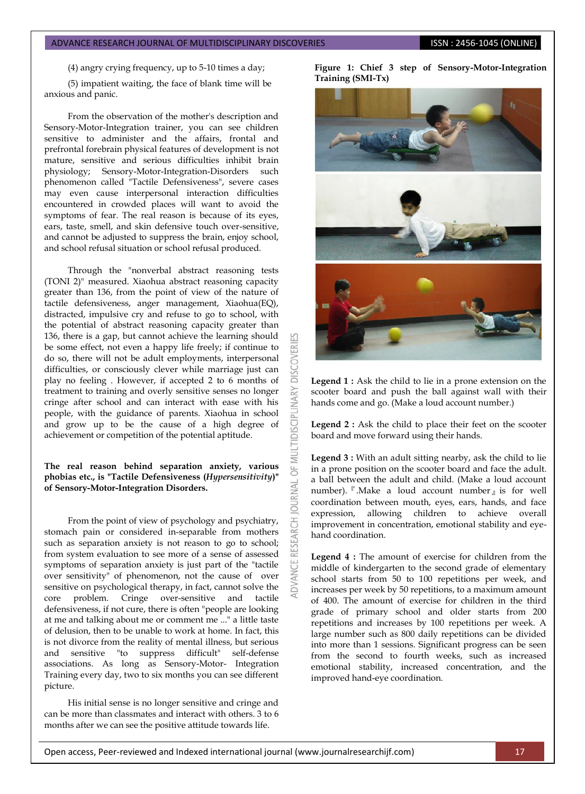(4) angry crying frequency, up to 5-10 times a day;

(5) impatient waiting, the face of blank time will be anxious and panic.

From the observation of the mother's description and Sensory-Motor-Integration trainer, you can see children sensitive to administer and the affairs, frontal and prefrontal forebrain physical features of development is not mature, sensitive and serious difficulties inhibit brain physiology; Sensory-Motor-Integration-Disorders such phenomenon called "Tactile Defensiveness", severe cases may even cause interpersonal interaction difficulties encountered in crowded places will want to avoid the symptoms of fear. The real reason is because of its eyes, ears, taste, smell, and skin defensive touch over-sensitive, and cannot be adjusted to suppress the brain, enjoy school, and school refusal situation or school refusal produced.

Through the "nonverbal abstract reasoning tests (TONI 2)" measured. Xiaohua abstract reasoning capacity greater than 136, from the point of view of the nature of tactile defensiveness, anger management, Xiaohua(EQ), distracted, impulsive cry and refuse to go to school, with the potential of abstract reasoning capacity greater than 136, there is a gap, but cannot achieve the learning should be some effect, not even a happy life freely; if continue to do so, there will not be adult employments, interpersonal difficulties, or consciously clever while marriage just can play no feeling . However, if accepted 2 to 6 months of treatment to training and overly sensitive senses no longer cringe after school and can interact with ease with his people, with the guidance of parents. Xiaohua in school and grow up to be the cause of a high degree of achievement or competition of the potential aptitude.

**DISCOVERI** 

**IDISCIPLINARY** 

5 **JRNAL** 5

RESEARCH

#### **The real reason behind separation anxiety, various phobias etc., is "Tactile Defensiveness (***Hypersensitivity***)" of Sensory-Motor-Integration Disorders.**

From the point of view of psychology and psychiatry, stomach pain or considered in-separable from mothers such as separation anxiety is not reason to go to school; from system evaluation to see more of a sense of assessed symptoms of separation anxiety is just part of the "tactile over sensitivity" of phenomenon, not the cause of over sensitive on psychological therapy, in fact, cannot solve the core problem. Cringe over-sensitive and tactile defensiveness, if not cure, there is often "people are looking at me and talking about me or comment me ..." a little taste of delusion, then to be unable to work at home. In fact, this is not divorce from the reality of mental illness, but serious and sensitive "to suppress difficult" self-defense associations. As long as Sensory-Motor- Integration Training every day, two to six months you can see different picture.

His initial sense is no longer sensitive and cringe and can be more than classmates and interact with others. 3 to 6 months after we can see the positive attitude towards life.

**Figure 1: Chief 3 step of Sensory-Motor-Integration Training (SMI-Tx)**



**Legend 1 :** Ask the child to lie in a prone extension on the scooter board and push the ball against wall with their hands come and go. (Make a loud account number.)

**Legend 2 :** Ask the child to place their feet on the scooter board and move forward using their hands.

**Legend 3 :** With an adult sitting nearby, ask the child to lie in a prone position on the scooter board and face the adult. a ball between the adult and child. (Make a loud account number).『.Make a loud account number』is for well coordination between mouth, eyes, ears, hands, and face expression, allowing children to achieve overall improvement in concentration, emotional stability and eyehand coordination.

**Legend 4 :** The amount of exercise for children from the middle of kindergarten to the second grade of elementary school starts from 50 to 100 repetitions per week, and increases per week by 50 repetitions, to a maximum amount of 400. The amount of exercise for children in the third grade of primary school and older starts from 200 repetitions and increases by 100 repetitions per week. A large number such as 800 daily repetitions can be divided into more than 1 sessions. Significant progress can be seen from the second to fourth weeks, such as increased emotional stability, increased concentration, and the improved hand-eye coordination.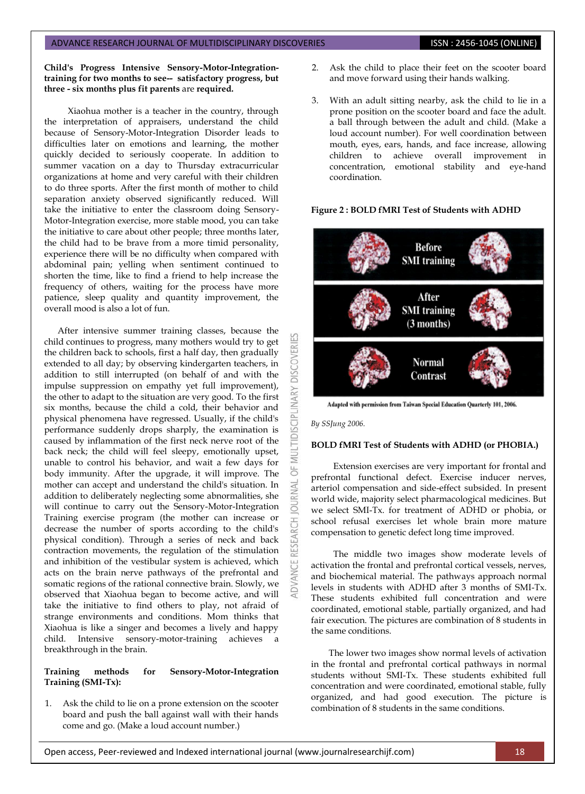**Child's Progress Intensive Sensory-Motor-Integrationtraining for two months to see-- satisfactory progress, but three - six months plus fit parents** are **required.**

Xiaohua mother is a teacher in the country, through the interpretation of appraisers, understand the child because of Sensory-Motor-Integration Disorder leads to difficulties later on emotions and learning, the mother quickly decided to seriously cooperate. In addition to summer vacation on a day to Thursday extracurricular organizations at home and very careful with their children to do three sports. After the first month of mother to child separation anxiety observed significantly reduced. Will take the initiative to enter the classroom doing Sensory-Motor-Integration exercise, more stable mood, you can take the initiative to care about other people; three months later, the child had to be brave from a more timid personality, experience there will be no difficulty when compared with abdominal pain; yelling when sentiment continued to shorten the time, like to find a friend to help increase the frequency of others, waiting for the process have more patience, sleep quality and quantity improvement, the overall mood is also a lot of fun.

After intensive summer training classes, because the child continues to progress, many mothers would try to get the children back to schools, first a half day, then gradually extended to all day; by observing kindergarten teachers, in addition to still interrupted (on behalf of and with the impulse suppression on empathy yet full improvement), the other to adapt to the situation are very good. To the first six months, because the child a cold, their behavior and physical phenomena have regressed. Usually, if the child's performance suddenly drops sharply, the examination is caused by inflammation of the first neck nerve root of the back neck; the child will feel sleepy, emotionally upset, unable to control his behavior, and wait a few days for body immunity. After the upgrade, it will improve. The mother can accept and understand the child's situation. In addition to deliberately neglecting some abnormalities, she will continue to carry out the Sensory-Motor-Integration Training exercise program (the mother can increase or decrease the number of sports according to the child's physical condition). Through a series of neck and back contraction movements, the regulation of the stimulation and inhibition of the vestibular system is achieved, which acts on the brain nerve pathways of the prefrontal and somatic regions of the rational connective brain. Slowly, we observed that Xiaohua began to become active, and will take the initiative to find others to play, not afraid of strange environments and conditions. Mom thinks that Xiaohua is like a singer and becomes a lively and happy child. Intensive sensory-motor-training achieves a breakthrough in the brain.

#### **Training methods for Sensory-Motor-Integration Training (SMI-Tx):**

1. Ask the child to lie on a prone extension on the scooter board and push the ball against wall with their hands come and go. (Make a loud account number.)

- 2. Ask the child to place their feet on the scooter board and move forward using their hands walking.
- 3. With an adult sitting nearby, ask the child to lie in a prone position on the scooter board and face the adult. a ball through between the adult and child. (Make a loud account number). For well coordination between mouth, eyes, ears, hands, and face increase, allowing children to achieve overall improvement in concentration, emotional stability and eye-hand coordination.

#### **Figure 2 : BOLD fMRI Test of Students with ADHD**



Adapted with permission from Taiwan Special Education Quarterly 101, 2006.

#### *By SSJung 2006.*

**DISCOVERIES** 

**LTIDISCIPLINARY** 

5F **IRNAL**  $\overline{c}$ 

#### **BOLD fMRI Test of Students with ADHD (or PHOBIA.)**

Extension exercises are very important for frontal and prefrontal functional defect. Exercise inducer nerves, arteriol compensation and side-effect subsided. In present world wide, majority select pharmacological medicines. But we select SMI-Tx. for treatment of ADHD or phobia, or school refusal exercises let whole brain more mature compensation to genetic defect long time improved.

The middle two images show moderate levels of activation the frontal and prefrontal cortical vessels, nerves, and biochemical material. The pathways approach normal levels in students with ADHD after 3 months of SMI-Tx. These students exhibited full concentration and were coordinated, emotional stable, partially organized, and had fair execution. The pictures are combination of 8 students in the same conditions.

The lower two images show normal levels of activation in the frontal and prefrontal cortical pathways in normal students without SMI-Tx. These students exhibited full concentration and were coordinated, emotional stable, fully organized, and had good execution. The picture is combination of 8 students in the same conditions.